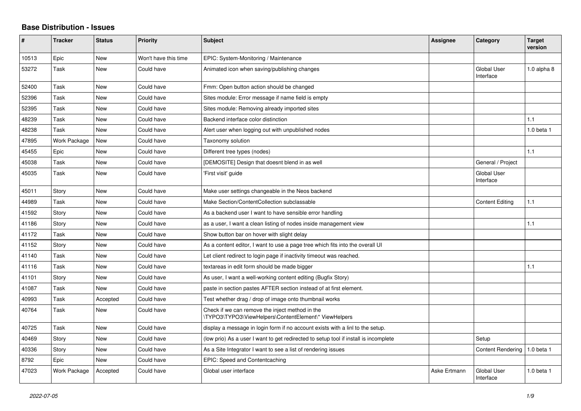## **Base Distribution - Issues**

| #     | <b>Tracker</b> | <b>Status</b> | <b>Priority</b>      | <b>Subject</b>                                                                                           | <b>Assignee</b> | Category                        | <b>Target</b><br>version |
|-------|----------------|---------------|----------------------|----------------------------------------------------------------------------------------------------------|-----------------|---------------------------------|--------------------------|
| 10513 | Epic           | <b>New</b>    | Won't have this time | EPIC: System-Monitoring / Maintenance                                                                    |                 |                                 |                          |
| 53272 | Task           | <b>New</b>    | Could have           | Animated icon when saving/publishing changes                                                             |                 | <b>Global User</b><br>Interface | 1.0 alpha 8              |
| 52400 | Task           | <b>New</b>    | Could have           | Fmm: Open button action should be changed                                                                |                 |                                 |                          |
| 52396 | Task           | <b>New</b>    | Could have           | Sites module: Error message if name field is empty                                                       |                 |                                 |                          |
| 52395 | Task           | <b>New</b>    | Could have           | Sites module: Removing already imported sites                                                            |                 |                                 |                          |
| 48239 | Task           | <b>New</b>    | Could have           | Backend interface color distinction                                                                      |                 |                                 | 1.1                      |
| 48238 | Task           | <b>New</b>    | Could have           | Alert user when logging out with unpublished nodes                                                       |                 |                                 | 1.0 beta 1               |
| 47895 | Work Package   | <b>New</b>    | Could have           | Taxonomy solution                                                                                        |                 |                                 |                          |
| 45455 | Epic           | <b>New</b>    | Could have           | Different tree types (nodes)                                                                             |                 |                                 | 1.1                      |
| 45038 | Task           | <b>New</b>    | Could have           | [DEMOSITE] Design that doesnt blend in as well                                                           |                 | General / Project               |                          |
| 45035 | Task           | <b>New</b>    | Could have           | 'First visit' guide                                                                                      |                 | <b>Global User</b><br>Interface |                          |
| 45011 | Story          | <b>New</b>    | Could have           | Make user settings changeable in the Neos backend                                                        |                 |                                 |                          |
| 44989 | Task           | New           | Could have           | Make Section/ContentCollection subclassable                                                              |                 | <b>Content Editing</b>          | 1.1                      |
| 41592 | Story          | <b>New</b>    | Could have           | As a backend user I want to have sensible error handling                                                 |                 |                                 |                          |
| 41186 | Story          | <b>New</b>    | Could have           | as a user, I want a clean listing of nodes inside management view                                        |                 |                                 | 1.1                      |
| 41172 | Task           | <b>New</b>    | Could have           | Show button bar on hover with slight delay                                                               |                 |                                 |                          |
| 41152 | Story          | <b>New</b>    | Could have           | As a content editor, I want to use a page tree which fits into the overall UI                            |                 |                                 |                          |
| 41140 | Task           | <b>New</b>    | Could have           | Let client redirect to login page if inactivity timeout was reached.                                     |                 |                                 |                          |
| 41116 | Task           | <b>New</b>    | Could have           | textareas in edit form should be made bigger                                                             |                 |                                 | 1.1                      |
| 41101 | Story          | <b>New</b>    | Could have           | As user, I want a well-working content editing (Bugfix Story)                                            |                 |                                 |                          |
| 41087 | Task           | <b>New</b>    | Could have           | paste in section pastes AFTER section instead of at first element.                                       |                 |                                 |                          |
| 40993 | Task           | Accepted      | Could have           | Test whether drag / drop of image onto thumbnail works                                                   |                 |                                 |                          |
| 40764 | Task           | <b>New</b>    | Could have           | Check if we can remove the inject method in the<br>\TYPO3\TYPO3\ViewHelpers\ContentElement\* ViewHelpers |                 |                                 |                          |
| 40725 | Task           | New           | Could have           | display a message in login form if no account exists with a linl to the setup.                           |                 |                                 |                          |
| 40469 | Story          | <b>New</b>    | Could have           | (low prio) As a user I want to get redirected to setup tool if install is incomplete                     |                 | Setup                           |                          |
| 40336 | Story          | <b>New</b>    | Could have           | As a Site Integrator I want to see a list of rendering issues                                            |                 | <b>Content Rendering</b>        | $1.0$ beta $1$           |
| 8792  | Epic           | New           | Could have           | EPIC: Speed and Contentcaching                                                                           |                 |                                 |                          |
| 47023 | Work Package   | Accepted      | Could have           | Global user interface                                                                                    | Aske Ertmann    | <b>Global User</b><br>Interface | 1.0 beta 1               |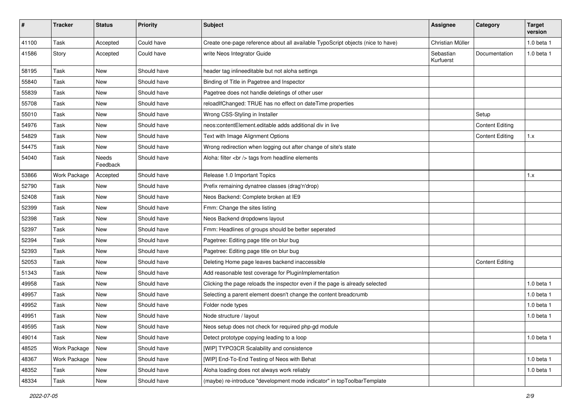| #     | <b>Tracker</b> | <b>Status</b>     | Priority    | Subject                                                                         | Assignee               | Category               | <b>Target</b><br>version |
|-------|----------------|-------------------|-------------|---------------------------------------------------------------------------------|------------------------|------------------------|--------------------------|
| 41100 | Task           | Accepted          | Could have  | Create one-page reference about all available TypoScript objects (nice to have) | Christian Müller       |                        | 1.0 beta 1               |
| 41586 | Story          | Accepted          | Could have  | write Neos Integrator Guide                                                     | Sebastian<br>Kurfuerst | Documentation          | $1.0$ beta $1$           |
| 58195 | Task           | <b>New</b>        | Should have | header tag inlineeditable but not aloha settings                                |                        |                        |                          |
| 55840 | Task           | New               | Should have | Binding of Title in Pagetree and Inspector                                      |                        |                        |                          |
| 55839 | Task           | New               | Should have | Pagetree does not handle deletings of other user                                |                        |                        |                          |
| 55708 | Task           | New               | Should have | reloadIfChanged: TRUE has no effect on dateTime properties                      |                        |                        |                          |
| 55010 | Task           | New               | Should have | Wrong CSS-Styling in Installer                                                  |                        | Setup                  |                          |
| 54976 | Task           | <b>New</b>        | Should have | neos:contentElement.editable adds additional div in live                        |                        | <b>Content Editing</b> |                          |
| 54829 | Task           | New               | Should have | Text with Image Alignment Options                                               |                        | <b>Content Editing</b> | 1.x                      |
| 54475 | Task           | New               | Should have | Wrong redirection when logging out after change of site's state                 |                        |                        |                          |
| 54040 | Task           | Needs<br>Feedback | Should have | Aloha: filter<br>tags from headline elements                                    |                        |                        |                          |
| 53866 | Work Package   | Accepted          | Should have | Release 1.0 Important Topics                                                    |                        |                        | 1.x                      |
| 52790 | Task           | New               | Should have | Prefix remaining dynatree classes (drag'n'drop)                                 |                        |                        |                          |
| 52408 | Task           | New               | Should have | Neos Backend: Complete broken at IE9                                            |                        |                        |                          |
| 52399 | Task           | New               | Should have | Fmm: Change the sites listing                                                   |                        |                        |                          |
| 52398 | Task           | New               | Should have | Neos Backend dropdowns layout                                                   |                        |                        |                          |
| 52397 | Task           | New               | Should have | Fmm: Headlines of groups should be better seperated                             |                        |                        |                          |
| 52394 | Task           | New               | Should have | Pagetree: Editing page title on blur bug                                        |                        |                        |                          |
| 52393 | Task           | New               | Should have | Pagetree: Editing page title on blur bug                                        |                        |                        |                          |
| 52053 | Task           | New               | Should have | Deleting Home page leaves backend inaccessible                                  |                        | <b>Content Editing</b> |                          |
| 51343 | Task           | New               | Should have | Add reasonable test coverage for PluginImplementation                           |                        |                        |                          |
| 49958 | Task           | New               | Should have | Clicking the page reloads the inspector even if the page is already selected    |                        |                        | 1.0 beta 1               |
| 49957 | Task           | New               | Should have | Selecting a parent element doesn't change the content breadcrumb                |                        |                        | 1.0 beta 1               |
| 49952 | Task           | New               | Should have | Folder node types                                                               |                        |                        | 1.0 beta 1               |
| 49951 | Task           | New               | Should have | Node structure / layout                                                         |                        |                        | 1.0 beta 1               |
| 49595 | Task           | New               | Should have | Neos setup does not check for required php-gd module                            |                        |                        |                          |
| 49014 | Task           | New               | Should have | Detect prototype copying leading to a loop                                      |                        |                        | 1.0 beta 1               |
| 48525 | Work Package   | New               | Should have | [WIP] TYPO3CR Scalability and consistence                                       |                        |                        |                          |
| 48367 | Work Package   | New               | Should have | [WIP] End-To-End Testing of Neos with Behat                                     |                        |                        | 1.0 beta 1               |
| 48352 | Task           | New               | Should have | Aloha loading does not always work reliably                                     |                        |                        | 1.0 beta 1               |
| 48334 | Task           | New               | Should have | (maybe) re-introduce "development mode indicator" in topToolbarTemplate         |                        |                        |                          |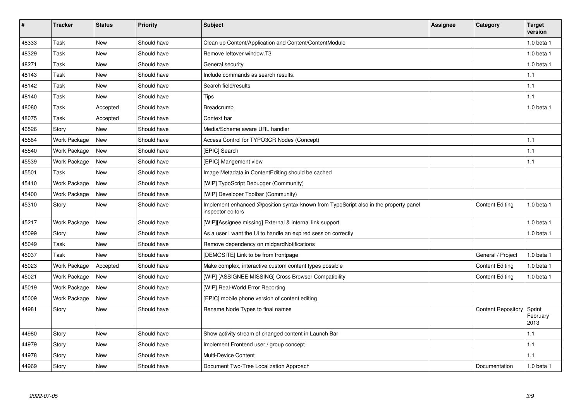| $\pmb{\#}$ | <b>Tracker</b>      | <b>Status</b> | <b>Priority</b> | <b>Subject</b>                                                                                            | <b>Assignee</b> | Category                  | <b>Target</b><br>version   |
|------------|---------------------|---------------|-----------------|-----------------------------------------------------------------------------------------------------------|-----------------|---------------------------|----------------------------|
| 48333      | Task                | New           | Should have     | Clean up Content/Application and Content/ContentModule                                                    |                 |                           | 1.0 beta 1                 |
| 48329      | Task                | New           | Should have     | Remove leftover window.T3                                                                                 |                 |                           | 1.0 beta 1                 |
| 48271      | Task                | <b>New</b>    | Should have     | General security                                                                                          |                 |                           | $1.0$ beta $1$             |
| 48143      | Task                | <b>New</b>    | Should have     | Include commands as search results.                                                                       |                 |                           | 1.1                        |
| 48142      | Task                | New           | Should have     | Search field/results                                                                                      |                 |                           | 1.1                        |
| 48140      | Task                | New           | Should have     | <b>Tips</b>                                                                                               |                 |                           | 1.1                        |
| 48080      | Task                | Accepted      | Should have     | Breadcrumb                                                                                                |                 |                           | 1.0 beta 1                 |
| 48075      | Task                | Accepted      | Should have     | Context bar                                                                                               |                 |                           |                            |
| 46526      | Story               | <b>New</b>    | Should have     | Media/Scheme aware URL handler                                                                            |                 |                           |                            |
| 45584      | Work Package        | New           | Should have     | Access Control for TYPO3CR Nodes (Concept)                                                                |                 |                           | 1.1                        |
| 45540      | Work Package        | New           | Should have     | [EPIC] Search                                                                                             |                 |                           | 1.1                        |
| 45539      | Work Package        | New           | Should have     | [EPIC] Mangement view                                                                                     |                 |                           | 1.1                        |
| 45501      | Task                | New           | Should have     | Image Metadata in ContentEditing should be cached                                                         |                 |                           |                            |
| 45410      | <b>Work Package</b> | <b>New</b>    | Should have     | [WIP] TypoScript Debugger (Community)                                                                     |                 |                           |                            |
| 45400      | <b>Work Package</b> | <b>New</b>    | Should have     | [WIP] Developer Toolbar (Community)                                                                       |                 |                           |                            |
| 45310      | Story               | <b>New</b>    | Should have     | Implement enhanced @position syntax known from TypoScript also in the property panel<br>inspector editors |                 | <b>Content Editing</b>    | $1.0$ beta $1$             |
| 45217      | Work Package        | New           | Should have     | [WIP][Assignee missing] External & internal link support                                                  |                 |                           | 1.0 beta 1                 |
| 45099      | Story               | <b>New</b>    | Should have     | As a user I want the Ui to handle an expired session correctly                                            |                 |                           | 1.0 beta 1                 |
| 45049      | Task                | <b>New</b>    | Should have     | Remove dependency on midgardNotifications                                                                 |                 |                           |                            |
| 45037      | Task                | <b>New</b>    | Should have     | [DEMOSITE] Link to be from frontpage                                                                      |                 | General / Project         | $1.0$ beta $1$             |
| 45023      | Work Package        | Accepted      | Should have     | Make complex, interactive custom content types possible                                                   |                 | <b>Content Editing</b>    | 1.0 beta 1                 |
| 45021      | Work Package        | <b>New</b>    | Should have     | [WIP] [ASSIGNEE MISSING] Cross Browser Compatibility                                                      |                 | <b>Content Editing</b>    | 1.0 beta 1                 |
| 45019      | <b>Work Package</b> | New           | Should have     | [WIP] Real-World Error Reporting                                                                          |                 |                           |                            |
| 45009      | Work Package        | <b>New</b>    | Should have     | [EPIC] mobile phone version of content editing                                                            |                 |                           |                            |
| 44981      | Story               | <b>New</b>    | Should have     | Rename Node Types to final names                                                                          |                 | <b>Content Repository</b> | Sprint<br>February<br>2013 |
| 44980      | Story               | <b>New</b>    | Should have     | Show activity stream of changed content in Launch Bar                                                     |                 |                           | 1.1                        |
| 44979      | Story               | <b>New</b>    | Should have     | Implement Frontend user / group concept                                                                   |                 |                           | 1.1                        |
| 44978      | Story               | New           | Should have     | Multi-Device Content                                                                                      |                 |                           | 1.1                        |
| 44969      | Story               | <b>New</b>    | Should have     | Document Two-Tree Localization Approach                                                                   |                 | Documentation             | 1.0 beta 1                 |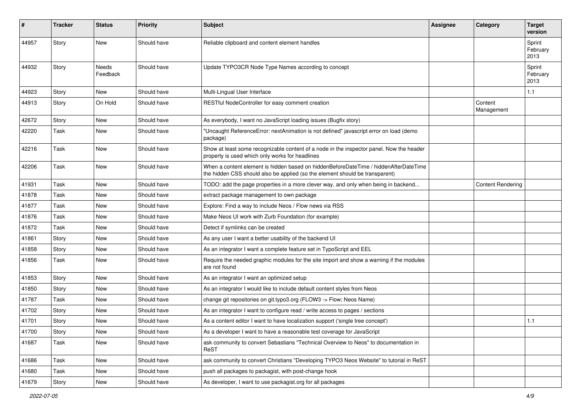| #     | <b>Tracker</b> | <b>Status</b>            | <b>Priority</b> | <b>Subject</b>                                                                                                                                                       | <b>Assignee</b> | Category                 | <b>Target</b><br>version   |
|-------|----------------|--------------------------|-----------------|----------------------------------------------------------------------------------------------------------------------------------------------------------------------|-----------------|--------------------------|----------------------------|
| 44957 | Story          | <b>New</b>               | Should have     | Reliable clipboard and content element handles                                                                                                                       |                 |                          | Sprint<br>February<br>2013 |
| 44932 | Story          | <b>Needs</b><br>Feedback | Should have     | Update TYPO3CR Node Type Names according to concept                                                                                                                  |                 |                          | Sprint<br>February<br>2013 |
| 44923 | Story          | New                      | Should have     | Multi-Lingual User Interface                                                                                                                                         |                 |                          | 1.1                        |
| 44913 | Story          | On Hold                  | Should have     | RESTful NodeController for easy comment creation                                                                                                                     |                 | Content<br>Management    |                            |
| 42672 | Story          | New                      | Should have     | As everybody, I want no JavaScript loading issues (Bugfix story)                                                                                                     |                 |                          |                            |
| 42220 | Task           | <b>New</b>               | Should have     | "Uncaught ReferenceError: nextAnimation is not defined" javascript error on load (demo<br>package)                                                                   |                 |                          |                            |
| 42216 | Task           | New                      | Should have     | Show at least some recognizable content of a node in the inspector panel. Now the header<br>property is used which only works for headlines                          |                 |                          |                            |
| 42206 | Task           | <b>New</b>               | Should have     | When a content element is hidden based on hiddenBeforeDateTime / hiddenAfterDateTime<br>the hidden CSS should also be applied (so the element should be transparent) |                 |                          |                            |
| 41931 | Task           | <b>New</b>               | Should have     | TODO: add the page properties in a more clever way, and only when being in backend                                                                                   |                 | <b>Content Rendering</b> |                            |
| 41878 | Task           | <b>New</b>               | Should have     | extract package management to own package                                                                                                                            |                 |                          |                            |
| 41877 | Task           | <b>New</b>               | Should have     | Explore: Find a way to include Neos / Flow news via RSS                                                                                                              |                 |                          |                            |
| 41876 | Task           | <b>New</b>               | Should have     | Make Neos UI work with Zurb Foundation (for example)                                                                                                                 |                 |                          |                            |
| 41872 | Task           | <b>New</b>               | Should have     | Detect if symlinks can be created                                                                                                                                    |                 |                          |                            |
| 41861 | Story          | <b>New</b>               | Should have     | As any user I want a better usability of the backend UI                                                                                                              |                 |                          |                            |
| 41858 | Story          | <b>New</b>               | Should have     | As an integrator I want a complete feature set in TypoScript and EEL                                                                                                 |                 |                          |                            |
| 41856 | Task           | <b>New</b>               | Should have     | Require the needed graphic modules for the site import and show a warning if the modules<br>are not found                                                            |                 |                          |                            |
| 41853 | Story          | <b>New</b>               | Should have     | As an integrator I want an optimized setup                                                                                                                           |                 |                          |                            |
| 41850 | Story          | <b>New</b>               | Should have     | As an integrator I would like to include default content styles from Neos                                                                                            |                 |                          |                            |
| 41787 | Task           | <b>New</b>               | Should have     | change git repositories on git.typo3.org (FLOW3 -> Flow; Neos Name)                                                                                                  |                 |                          |                            |
| 41702 | Story          | New                      | Should have     | As an integrator I want to configure read / write access to pages / sections                                                                                         |                 |                          |                            |
| 41701 | Story          | <b>New</b>               | Should have     | As a content editor I want to have localization support ('single tree concept')                                                                                      |                 |                          | 1.1                        |
| 41700 | Story          | New                      | Should have     | As a developer I want to have a reasonable test coverage for JavaScript                                                                                              |                 |                          |                            |
| 41687 | Task           | New                      | Should have     | ask community to convert Sebastians "Technical Overview to Neos" to documentation in<br>ReST                                                                         |                 |                          |                            |
| 41686 | Task           | New                      | Should have     | ask community to convert Christians "Developing TYPO3 Neos Website" to tutorial in ReST                                                                              |                 |                          |                            |
| 41680 | Task           | New                      | Should have     | push all packages to packagist, with post-change hook                                                                                                                |                 |                          |                            |
| 41679 | Story          | New                      | Should have     | As developer, I want to use packagist.org for all packages                                                                                                           |                 |                          |                            |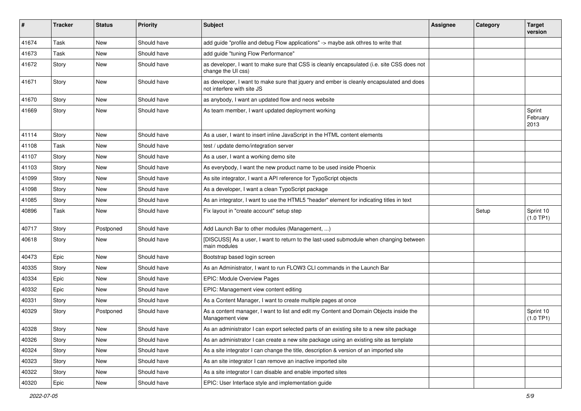| #     | <b>Tracker</b> | <b>Status</b> | <b>Priority</b> | Subject                                                                                                                | <b>Assignee</b> | Category | <b>Target</b><br>version   |
|-------|----------------|---------------|-----------------|------------------------------------------------------------------------------------------------------------------------|-----------------|----------|----------------------------|
| 41674 | Task           | <b>New</b>    | Should have     | add guide "profile and debug Flow applications" -> maybe ask othres to write that                                      |                 |          |                            |
| 41673 | Task           | New           | Should have     | add guide "tuning Flow Performance"                                                                                    |                 |          |                            |
| 41672 | Story          | <b>New</b>    | Should have     | as developer, I want to make sure that CSS is cleanly encapsulated (i.e. site CSS does not<br>change the UI css)       |                 |          |                            |
| 41671 | Story          | <b>New</b>    | Should have     | as developer, I want to make sure that jquery and ember is cleanly encapsulated and does<br>not interfere with site JS |                 |          |                            |
| 41670 | Story          | New           | Should have     | as anybody. I want an updated flow and neos website                                                                    |                 |          |                            |
| 41669 | Story          | <b>New</b>    | Should have     | As team member, I want updated deployment working                                                                      |                 |          | Sprint<br>February<br>2013 |
| 41114 | Story          | <b>New</b>    | Should have     | As a user, I want to insert inline JavaScript in the HTML content elements                                             |                 |          |                            |
| 41108 | Task           | <b>New</b>    | Should have     | test / update demo/integration server                                                                                  |                 |          |                            |
| 41107 | Story          | New           | Should have     | As a user, I want a working demo site                                                                                  |                 |          |                            |
| 41103 | Story          | <b>New</b>    | Should have     | As everybody, I want the new product name to be used inside Phoenix                                                    |                 |          |                            |
| 41099 | Story          | <b>New</b>    | Should have     | As site integrator, I want a API reference for TypoScript objects                                                      |                 |          |                            |
| 41098 | Story          | New           | Should have     | As a developer, I want a clean TypoScript package                                                                      |                 |          |                            |
| 41085 | Story          | <b>New</b>    | Should have     | As an integrator, I want to use the HTML5 "header" element for indicating titles in text                               |                 |          |                            |
| 40896 | Task           | <b>New</b>    | Should have     | Fix layout in "create account" setup step                                                                              |                 | Setup    | Sprint 10<br>(1.0 TP1)     |
| 40717 | Story          | Postponed     | Should have     | Add Launch Bar to other modules (Management, )                                                                         |                 |          |                            |
| 40618 | Story          | New           | Should have     | [DISCUSS] As a user, I want to return to the last-used submodule when changing between<br>main modules                 |                 |          |                            |
| 40473 | Epic           | <b>New</b>    | Should have     | Bootstrap based login screen                                                                                           |                 |          |                            |
| 40335 | Story          | <b>New</b>    | Should have     | As an Administrator, I want to run FLOW3 CLI commands in the Launch Bar                                                |                 |          |                            |
| 40334 | Epic           | New           | Should have     | EPIC: Module Overview Pages                                                                                            |                 |          |                            |
| 40332 | Epic           | New           | Should have     | EPIC: Management view content editing                                                                                  |                 |          |                            |
| 40331 | Story          | New           | Should have     | As a Content Manager, I want to create multiple pages at once                                                          |                 |          |                            |
| 40329 | Story          | Postponed     | Should have     | As a content manager, I want to list and edit my Content and Domain Objects inside the<br>Management view              |                 |          | Sprint 10<br>(1.0 TP1)     |
| 40328 | Story          | New           | Should have     | As an administrator I can export selected parts of an existing site to a new site package                              |                 |          |                            |
| 40326 | Story          | New           | Should have     | As an administrator I can create a new site package using an existing site as template                                 |                 |          |                            |
| 40324 | Story          | New           | Should have     | As a site integrator I can change the title, description & version of an imported site                                 |                 |          |                            |
| 40323 | Story          | New           | Should have     | As an site integrator I can remove an inactive imported site                                                           |                 |          |                            |
| 40322 | Story          | New           | Should have     | As a site integrator I can disable and enable imported sites                                                           |                 |          |                            |
| 40320 | Epic           | New           | Should have     | EPIC: User Interface style and implementation guide                                                                    |                 |          |                            |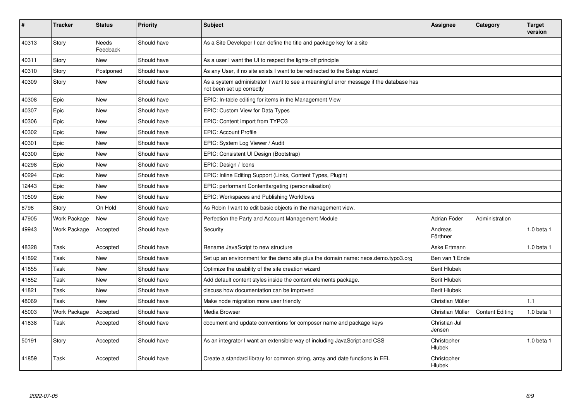| ∦     | <b>Tracker</b> | <b>Status</b>     | <b>Priority</b> | <b>Subject</b>                                                                                                      | <b>Assignee</b>         | Category               | <b>Target</b><br>version |
|-------|----------------|-------------------|-----------------|---------------------------------------------------------------------------------------------------------------------|-------------------------|------------------------|--------------------------|
| 40313 | Story          | Needs<br>Feedback | Should have     | As a Site Developer I can define the title and package key for a site                                               |                         |                        |                          |
| 40311 | Story          | New               | Should have     | As a user I want the UI to respect the lights-off principle                                                         |                         |                        |                          |
| 40310 | Story          | Postponed         | Should have     | As any User, if no site exists I want to be redirected to the Setup wizard                                          |                         |                        |                          |
| 40309 | Story          | <b>New</b>        | Should have     | As a system administrator I want to see a meaningful error message if the database has<br>not been set up correctly |                         |                        |                          |
| 40308 | Epic           | <b>New</b>        | Should have     | EPIC: In-table editing for items in the Management View                                                             |                         |                        |                          |
| 40307 | Epic           | <b>New</b>        | Should have     | EPIC: Custom View for Data Types                                                                                    |                         |                        |                          |
| 40306 | Epic           | <b>New</b>        | Should have     | EPIC: Content import from TYPO3                                                                                     |                         |                        |                          |
| 40302 | Epic           | <b>New</b>        | Should have     | <b>EPIC: Account Profile</b>                                                                                        |                         |                        |                          |
| 40301 | Epic           | <b>New</b>        | Should have     | EPIC: System Log Viewer / Audit                                                                                     |                         |                        |                          |
| 40300 | Epic           | <b>New</b>        | Should have     | EPIC: Consistent UI Design (Bootstrap)                                                                              |                         |                        |                          |
| 40298 | Epic           | <b>New</b>        | Should have     | EPIC: Design / Icons                                                                                                |                         |                        |                          |
| 40294 | Epic           | New               | Should have     | EPIC: Inline Editing Support (Links, Content Types, Plugin)                                                         |                         |                        |                          |
| 12443 | Epic           | <b>New</b>        | Should have     | EPIC: performant Contenttargeting (personalisation)                                                                 |                         |                        |                          |
| 10509 | Epic           | <b>New</b>        | Should have     | EPIC: Workspaces and Publishing Workflows                                                                           |                         |                        |                          |
| 8798  | Story          | On Hold           | Should have     | As Robin I want to edit basic objects in the management view.                                                       |                         |                        |                          |
| 47905 | Work Package   | <b>New</b>        | Should have     | Perfection the Party and Account Management Module                                                                  | Adrian Föder            | Administration         |                          |
| 49943 | Work Package   | Accepted          | Should have     | Security                                                                                                            | Andreas<br>Förthner     |                        | $1.0$ beta $1$           |
| 48328 | Task           | Accepted          | Should have     | Rename JavaScript to new structure                                                                                  | Aske Ertmann            |                        | $1.0$ beta $1$           |
| 41892 | Task           | <b>New</b>        | Should have     | Set up an environment for the demo site plus the domain name: neos.demo.typo3.org                                   | Ben van 't Ende         |                        |                          |
| 41855 | Task           | New               | Should have     | Optimize the usability of the site creation wizard                                                                  | <b>Berit Hlubek</b>     |                        |                          |
| 41852 | Task           | New               | Should have     | Add default content styles inside the content elements package.                                                     | <b>Berit Hlubek</b>     |                        |                          |
| 41821 | Task           | <b>New</b>        | Should have     | discuss how documentation can be improved                                                                           | <b>Berit Hlubek</b>     |                        |                          |
| 48069 | Task           | <b>New</b>        | Should have     | Make node migration more user friendly                                                                              | Christian Müller        |                        | 1.1                      |
| 45003 | Work Package   | Accepted          | Should have     | Media Browser                                                                                                       | Christian Müller        | <b>Content Editing</b> | $1.0$ beta $1$           |
| 41838 | Task           | Accepted          | Should have     | document and update conventions for composer name and package keys                                                  | Christian Jul<br>Jensen |                        |                          |
| 50191 | Story          | Accepted          | Should have     | As an integrator I want an extensible way of including JavaScript and CSS                                           | Christopher<br>Hlubek   |                        | $1.0$ beta $1$           |
| 41859 | Task           | Accepted          | Should have     | Create a standard library for common string, array and date functions in EEL                                        | Christopher<br>Hlubek   |                        |                          |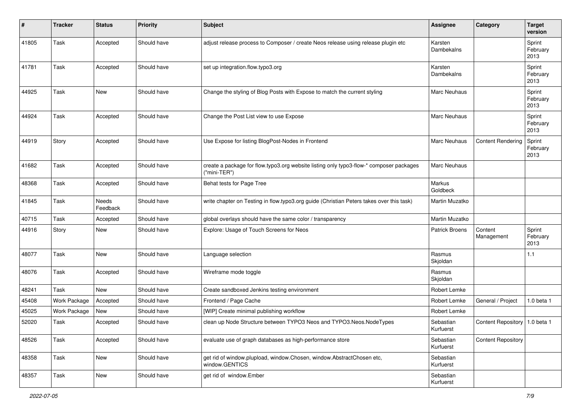| #     | <b>Tracker</b> | <b>Status</b>     | <b>Priority</b> | <b>Subject</b>                                                                                          | <b>Assignee</b>        | Category                        | <b>Target</b><br>version   |
|-------|----------------|-------------------|-----------------|---------------------------------------------------------------------------------------------------------|------------------------|---------------------------------|----------------------------|
| 41805 | Task           | Accepted          | Should have     | adjust release process to Composer / create Neos release using release plugin etc                       | Karsten<br>Dambekalns  |                                 | Sprint<br>February<br>2013 |
| 41781 | Task           | Accepted          | Should have     | set up integration.flow.typo3.org                                                                       | Karsten<br>Dambekalns  |                                 | Sprint<br>February<br>2013 |
| 44925 | Task           | <b>New</b>        | Should have     | Change the styling of Blog Posts with Expose to match the current styling                               | <b>Marc Neuhaus</b>    |                                 | Sprint<br>February<br>2013 |
| 44924 | Task           | Accepted          | Should have     | Change the Post List view to use Expose                                                                 | Marc Neuhaus           |                                 | Sprint<br>February<br>2013 |
| 44919 | Story          | Accepted          | Should have     | Use Expose for listing BlogPost-Nodes in Frontend                                                       | Marc Neuhaus           | <b>Content Rendering</b>        | Sprint<br>February<br>2013 |
| 41682 | Task           | Accepted          | Should have     | create a package for flow.typo3.org website listing only typo3-flow-* composer packages<br>("mini-TER") | <b>Marc Neuhaus</b>    |                                 |                            |
| 48368 | Task           | Accepted          | Should have     | Behat tests for Page Tree                                                                               | Markus<br>Goldbeck     |                                 |                            |
| 41845 | Task           | Needs<br>Feedback | Should have     | write chapter on Testing in flow typo3.org guide (Christian Peters takes over this task)                | Martin Muzatko         |                                 |                            |
| 40715 | Task           | Accepted          | Should have     | global overlays should have the same color / transparency                                               | Martin Muzatko         |                                 |                            |
| 44916 | Story          | <b>New</b>        | Should have     | Explore: Usage of Touch Screens for Neos                                                                | <b>Patrick Broens</b>  | Content<br>Management           | Sprint<br>February<br>2013 |
| 48077 | Task           | <b>New</b>        | Should have     | Language selection                                                                                      | Rasmus<br>Skjoldan     |                                 | 1.1                        |
| 48076 | Task           | Accepted          | Should have     | Wireframe mode toggle                                                                                   | Rasmus<br>Skjoldan     |                                 |                            |
| 48241 | Task           | <b>New</b>        | Should have     | Create sandboxed Jenkins testing environment                                                            | Robert Lemke           |                                 |                            |
| 45408 | Work Package   | Accepted          | Should have     | Frontend / Page Cache                                                                                   | Robert Lemke           | General / Project               | 1.0 beta 1                 |
| 45025 | Work Package   | <b>New</b>        | Should have     | [WIP] Create minimal publishing workflow                                                                | Robert Lemke           |                                 |                            |
| 52020 | Task           | Accepted          | Should have     | clean up Node Structure between TYPO3 Neos and TYPO3.Neos.NodeTypes                                     | Sebastian<br>Kurfuerst | Content Repository   1.0 beta 1 |                            |
| 48526 | Task           | Accepted          | Should have     | evaluate use of graph databases as high-performance store                                               | Sebastian<br>Kurfuerst | <b>Content Repository</b>       |                            |
| 48358 | Task           | New               | Should have     | get rid of window.plupload, window.Chosen, window.AbstractChosen etc,<br>window.GENTICS                 | Sebastian<br>Kurfuerst |                                 |                            |
| 48357 | Task           | New               | Should have     | get rid of window.Ember                                                                                 | Sebastian<br>Kurfuerst |                                 |                            |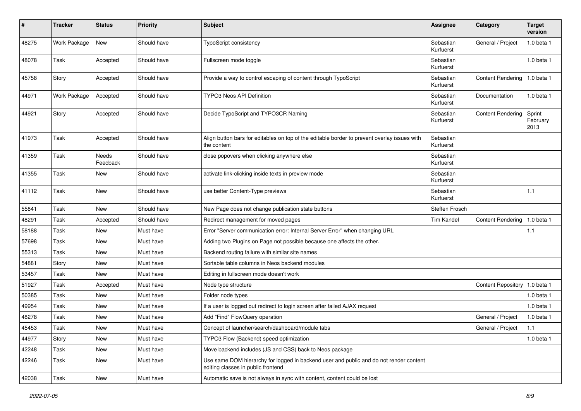| $\pmb{\#}$ | <b>Tracker</b>      | <b>Status</b>     | <b>Priority</b> | <b>Subject</b>                                                                                                               | Assignee               | Category                        | <b>Target</b><br>version   |
|------------|---------------------|-------------------|-----------------|------------------------------------------------------------------------------------------------------------------------------|------------------------|---------------------------------|----------------------------|
| 48275      | Work Package        | <b>New</b>        | Should have     | <b>TypoScript consistency</b>                                                                                                | Sebastian<br>Kurfuerst | General / Project               | 1.0 beta 1                 |
| 48078      | Task                | Accepted          | Should have     | Fullscreen mode toggle                                                                                                       | Sebastian<br>Kurfuerst |                                 | 1.0 beta 1                 |
| 45758      | Story               | Accepted          | Should have     | Provide a way to control escaping of content through TypoScript                                                              | Sebastian<br>Kurfuerst | <b>Content Rendering</b>        | 1.0 beta 1                 |
| 44971      | <b>Work Package</b> | Accepted          | Should have     | <b>TYPO3 Neos API Definition</b>                                                                                             | Sebastian<br>Kurfuerst | Documentation                   | 1.0 beta 1                 |
| 44921      | Story               | Accepted          | Should have     | Decide TypoScript and TYPO3CR Naming                                                                                         | Sebastian<br>Kurfuerst | <b>Content Rendering</b>        | Sprint<br>February<br>2013 |
| 41973      | Task                | Accepted          | Should have     | Align button bars for editables on top of the editable border to prevent overlay issues with<br>the content                  | Sebastian<br>Kurfuerst |                                 |                            |
| 41359      | Task                | Needs<br>Feedback | Should have     | close popovers when clicking anywhere else                                                                                   | Sebastian<br>Kurfuerst |                                 |                            |
| 41355      | Task                | New               | Should have     | activate link-clicking inside texts in preview mode                                                                          | Sebastian<br>Kurfuerst |                                 |                            |
| 41112      | Task                | <b>New</b>        | Should have     | use better Content-Type previews                                                                                             | Sebastian<br>Kurfuerst |                                 | 1.1                        |
| 55841      | Task                | <b>New</b>        | Should have     | New Page does not change publication state buttons                                                                           | Steffen Frosch         |                                 |                            |
| 48291      | Task                | Accepted          | Should have     | Redirect management for moved pages                                                                                          | Tim Kandel             | <b>Content Rendering</b>        | 1.0 beta 1                 |
| 58188      | Task                | New               | Must have       | Error "Server communication error: Internal Server Error" when changing URL                                                  |                        |                                 | 1.1                        |
| 57698      | Task                | <b>New</b>        | Must have       | Adding two Plugins on Page not possible because one affects the other.                                                       |                        |                                 |                            |
| 55313      | Task                | New               | Must have       | Backend routing failure with similar site names                                                                              |                        |                                 |                            |
| 54881      | Story               | New               | Must have       | Sortable table columns in Neos backend modules                                                                               |                        |                                 |                            |
| 53457      | Task                | New               | Must have       | Editing in fullscreen mode doesn't work                                                                                      |                        |                                 |                            |
| 51927      | Task                | Accepted          | Must have       | Node type structure                                                                                                          |                        | Content Repository   1.0 beta 1 |                            |
| 50385      | Task                | <b>New</b>        | Must have       | Folder node types                                                                                                            |                        |                                 | $1.0$ beta $1$             |
| 49954      | Task                | New               | Must have       | If a user is logged out redirect to login screen after failed AJAX request                                                   |                        |                                 | $1.0$ beta $1$             |
| 48278      | Task                | New               | Must have       | Add "Find" FlowQuery operation                                                                                               |                        | General / Project               | $1.0$ beta $1$             |
| 45453      | Task                | New               | Must have       | Concept of launcher/search/dashboard/module tabs                                                                             |                        | General / Project               | 1.1                        |
| 44977      | Story               | New               | Must have       | TYPO3 Flow (Backend) speed optimization                                                                                      |                        |                                 | 1.0 beta 1                 |
| 42248      | Task                | New               | Must have       | Move backend includes (JS and CSS) back to Neos package                                                                      |                        |                                 |                            |
| 42246      | Task                | New               | Must have       | Use same DOM hierarchy for logged in backend user and public and do not render content<br>editing classes in public frontend |                        |                                 |                            |
| 42038      | Task                | New               | Must have       | Automatic save is not always in sync with content, content could be lost                                                     |                        |                                 |                            |